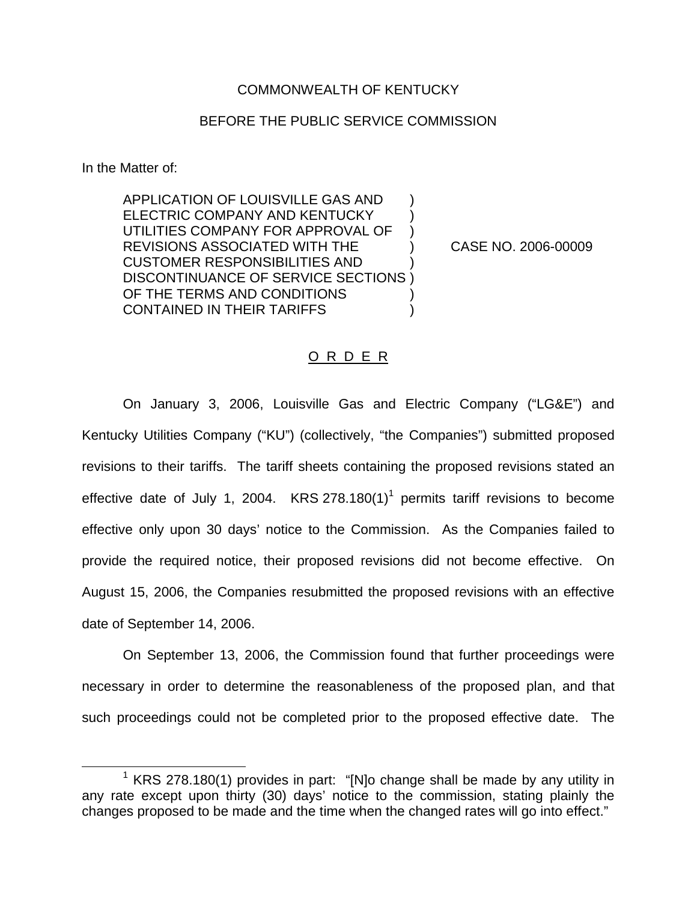### COMMONWEALTH OF KENTUCKY

# BEFORE THE PUBLIC SERVICE COMMISSION

In the Matter of:

APPLICATION OF LOUISVILLE GAS AND ) ELECTRIC COMPANY AND KENTUCKY ) UTILITIES COMPANY FOR APPROVAL OF ) REVISIONS ASSOCIATED WITH THE ) CASE NO. 2006-00009 CUSTOMER RESPONSIBILITIES AND ) DISCONTINUANCE OF SERVICE SECTIONS ) OF THE TERMS AND CONDITIONS CONTAINED IN THEIR TARIFFS )

### O R D E R

On January 3, 2006, Louisville Gas and Electric Company ("LG&E") and Kentucky Utilities Company ("KU") (collectively, "the Companies") submitted proposed revisions to their tariffs. The tariff sheets containing the proposed revisions stated an effective date of July 1, 2004. KRS 278.180(1)<sup>1</sup> permits tariff revisions to become effective only upon 30 days' notice to the Commission. As the Companies failed to provide the required notice, their proposed revisions did not become effective. On August 15, 2006, the Companies resubmitted the proposed revisions with an effective date of September 14, 2006.

On September 13, 2006, the Commission found that further proceedings were necessary in order to determine the reasonableness of the proposed plan, and that such proceedings could not be completed prior to the proposed effective date. The

 $1$  KRS 278.180(1) provides in part: "[N]o change shall be made by any utility in any rate except upon thirty (30) days' notice to the commission, stating plainly the changes proposed to be made and the time when the changed rates will go into effect."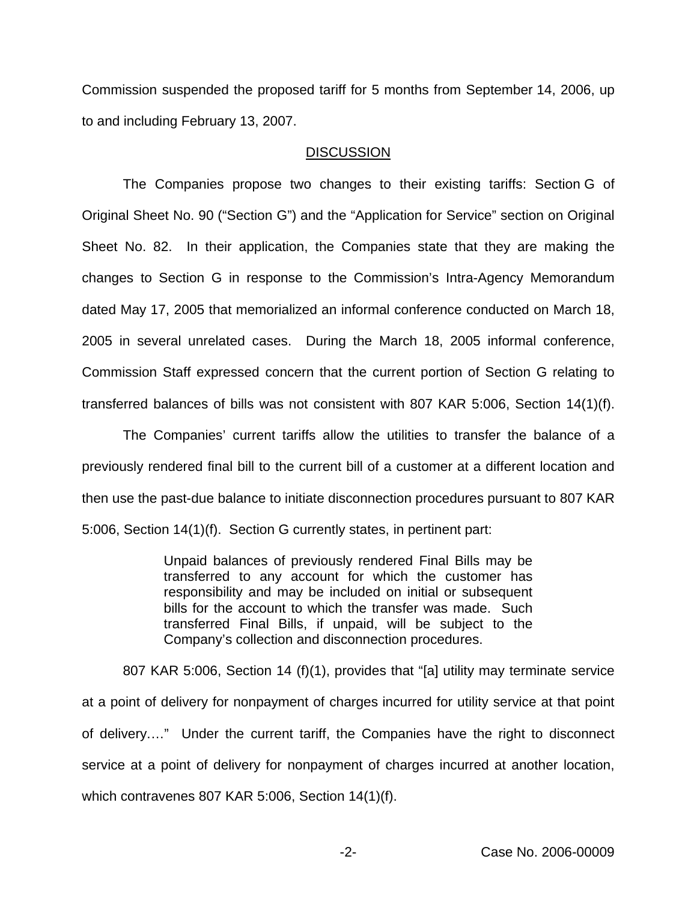Commission suspended the proposed tariff for 5 months from September 14, 2006, up to and including February 13, 2007.

#### **DISCUSSION**

The Companies propose two changes to their existing tariffs: Section G of Original Sheet No. 90 ("Section G") and the "Application for Service" section on Original Sheet No. 82. In their application, the Companies state that they are making the changes to Section G in response to the Commission's Intra-Agency Memorandum dated May 17, 2005 that memorialized an informal conference conducted on March 18, 2005 in several unrelated cases. During the March 18, 2005 informal conference, Commission Staff expressed concern that the current portion of Section G relating to transferred balances of bills was not consistent with 807 KAR 5:006, Section 14(1)(f).

The Companies' current tariffs allow the utilities to transfer the balance of a previously rendered final bill to the current bill of a customer at a different location and then use the past-due balance to initiate disconnection procedures pursuant to 807 KAR 5:006, Section 14(1)(f). Section G currently states, in pertinent part:

> Unpaid balances of previously rendered Final Bills may be transferred to any account for which the customer has responsibility and may be included on initial or subsequent bills for the account to which the transfer was made. Such transferred Final Bills, if unpaid, will be subject to the Company's collection and disconnection procedures.

807 KAR 5:006, Section 14 (f)(1), provides that "[a] utility may terminate service at a point of delivery for nonpayment of charges incurred for utility service at that point of delivery.…" Under the current tariff, the Companies have the right to disconnect service at a point of delivery for nonpayment of charges incurred at another location, which contravenes 807 KAR 5:006, Section 14(1)(f).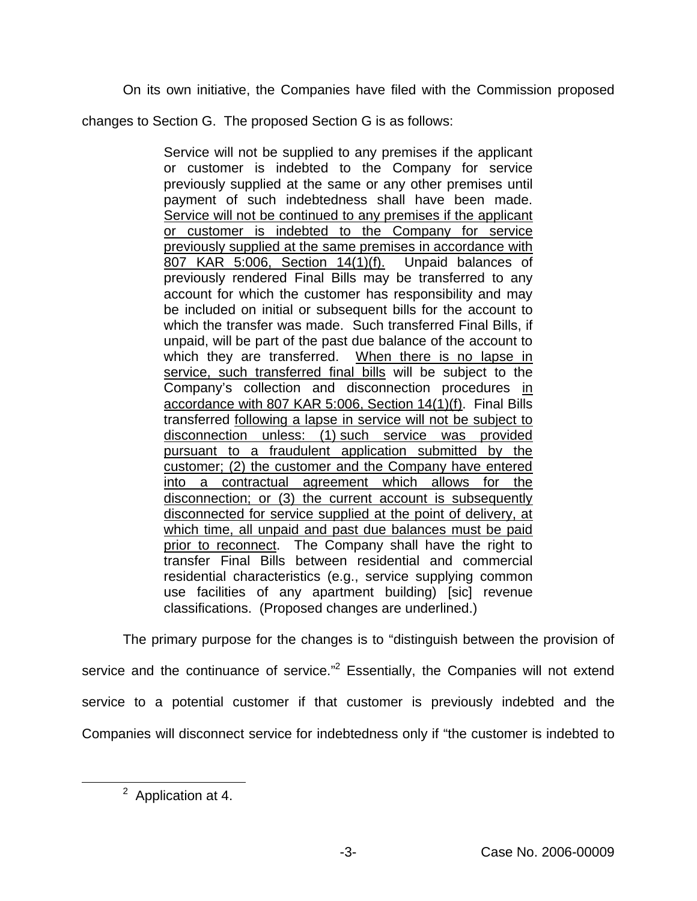On its own initiative, the Companies have filed with the Commission proposed

changes to Section G. The proposed Section G is as follows:

Service will not be supplied to any premises if the applicant or customer is indebted to the Company for service previously supplied at the same or any other premises until payment of such indebtedness shall have been made. Service will not be continued to any premises if the applicant or customer is indebted to the Company for service previously supplied at the same premises in accordance with 807 KAR 5:006, Section 14(1)(f). Unpaid balances of previously rendered Final Bills may be transferred to any account for which the customer has responsibility and may be included on initial or subsequent bills for the account to which the transfer was made. Such transferred Final Bills, if unpaid, will be part of the past due balance of the account to which they are transferred. When there is no lapse in service, such transferred final bills will be subject to the Company's collection and disconnection procedures in accordance with 807 KAR 5:006, Section 14(1)(f). Final Bills transferred following a lapse in service will not be subject to disconnection unless: (1) such service was provided pursuant to a fraudulent application submitted by the customer; (2) the customer and the Company have entered into a contractual agreement which allows for the disconnection; or (3) the current account is subsequently disconnected for service supplied at the point of delivery, at which time, all unpaid and past due balances must be paid prior to reconnect. The Company shall have the right to transfer Final Bills between residential and commercial residential characteristics (e.g., service supplying common use facilities of any apartment building) [sic] revenue classifications. (Proposed changes are underlined.)

The primary purpose for the changes is to "distinguish between the provision of service and the continuance of service."<sup>2</sup> Essentially, the Companies will not extend service to a potential customer if that customer is previously indebted and the Companies will disconnect service for indebtedness only if "the customer is indebted to

<sup>2</sup> Application at 4.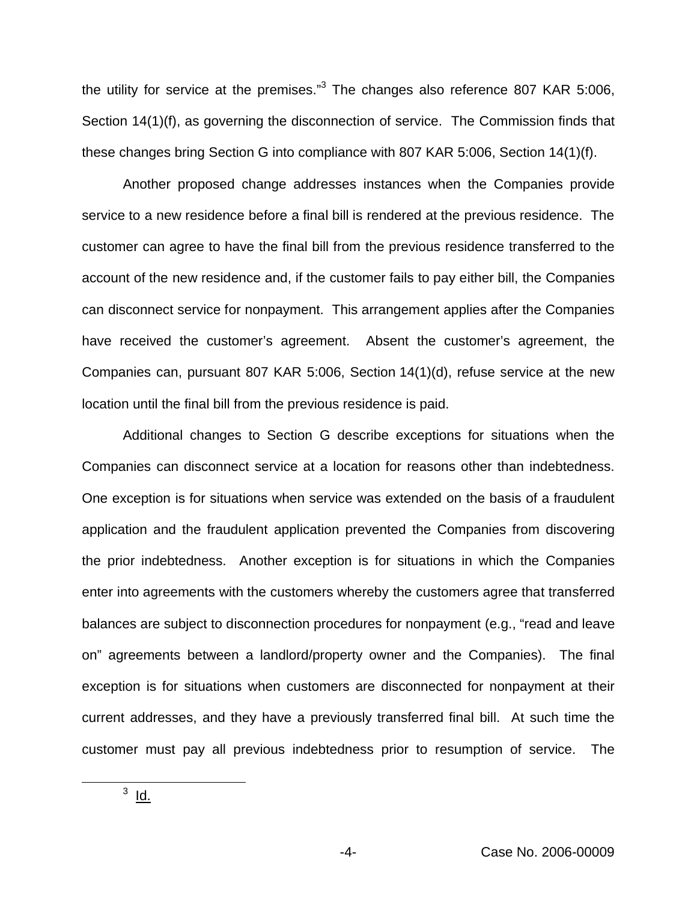the utility for service at the premises."<sup>3</sup> The changes also reference 807 KAR 5:006, Section 14(1)(f), as governing the disconnection of service. The Commission finds that these changes bring Section G into compliance with 807 KAR 5:006, Section 14(1)(f).

Another proposed change addresses instances when the Companies provide service to a new residence before a final bill is rendered at the previous residence. The customer can agree to have the final bill from the previous residence transferred to the account of the new residence and, if the customer fails to pay either bill, the Companies can disconnect service for nonpayment. This arrangement applies after the Companies have received the customer's agreement. Absent the customer's agreement, the Companies can, pursuant 807 KAR 5:006, Section 14(1)(d), refuse service at the new location until the final bill from the previous residence is paid.

Additional changes to Section G describe exceptions for situations when the Companies can disconnect service at a location for reasons other than indebtedness. One exception is for situations when service was extended on the basis of a fraudulent application and the fraudulent application prevented the Companies from discovering the prior indebtedness. Another exception is for situations in which the Companies enter into agreements with the customers whereby the customers agree that transferred balances are subject to disconnection procedures for nonpayment (e.g., "read and leave on" agreements between a landlord/property owner and the Companies). The final exception is for situations when customers are disconnected for nonpayment at their current addresses, and they have a previously transferred final bill. At such time the customer must pay all previous indebtedness prior to resumption of service. The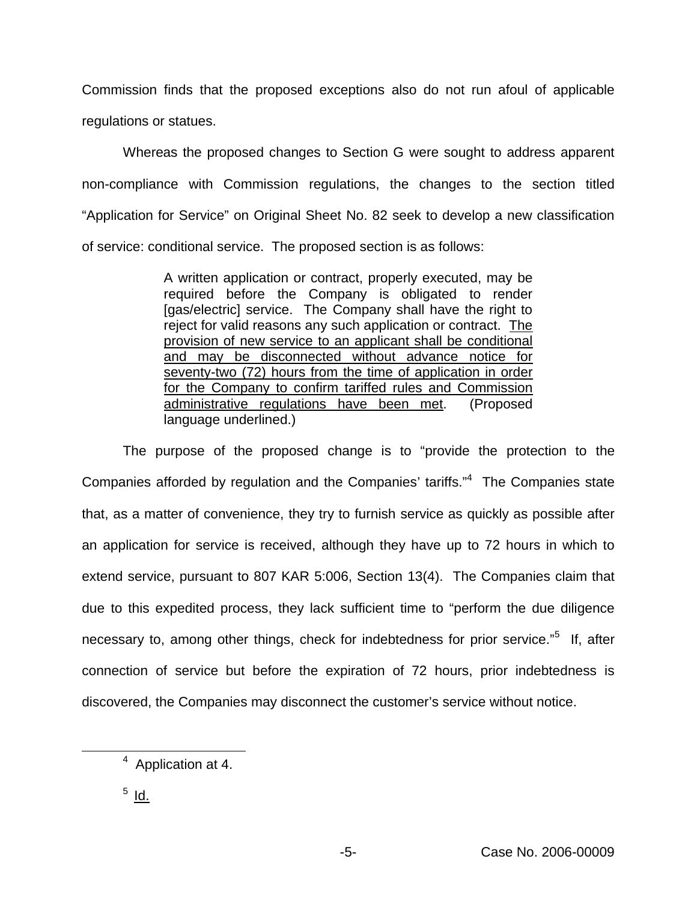Commission finds that the proposed exceptions also do not run afoul of applicable regulations or statues.

Whereas the proposed changes to Section G were sought to address apparent non-compliance with Commission regulations, the changes to the section titled "Application for Service" on Original Sheet No. 82 seek to develop a new classification of service: conditional service. The proposed section is as follows:

> A written application or contract, properly executed, may be required before the Company is obligated to render [gas/electric] service. The Company shall have the right to reject for valid reasons any such application or contract. The provision of new service to an applicant shall be conditional and may be disconnected without advance notice for seventy-two (72) hours from the time of application in order for the Company to confirm tariffed rules and Commission administrative regulations have been met. (Proposed language underlined.)

The purpose of the proposed change is to "provide the protection to the Companies afforded by regulation and the Companies' tariffs."4 The Companies state that, as a matter of convenience, they try to furnish service as quickly as possible after an application for service is received, although they have up to 72 hours in which to extend service, pursuant to 807 KAR 5:006, Section 13(4). The Companies claim that due to this expedited process, they lack sufficient time to "perform the due diligence necessary to, among other things, check for indebtedness for prior service."<sup>5</sup> If, after connection of service but before the expiration of 72 hours, prior indebtedness is discovered, the Companies may disconnect the customer's service without notice.

<sup>4</sup> Application at 4.

 $<sup>5</sup>$  Id.</sup>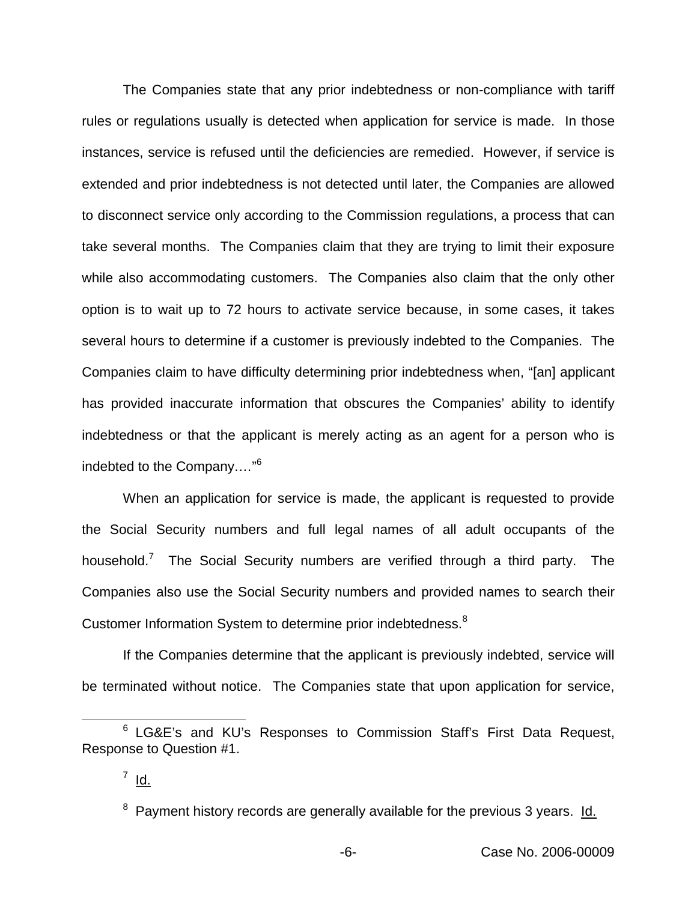The Companies state that any prior indebtedness or non-compliance with tariff rules or regulations usually is detected when application for service is made. In those instances, service is refused until the deficiencies are remedied. However, if service is extended and prior indebtedness is not detected until later, the Companies are allowed to disconnect service only according to the Commission regulations, a process that can take several months. The Companies claim that they are trying to limit their exposure while also accommodating customers. The Companies also claim that the only other option is to wait up to 72 hours to activate service because, in some cases, it takes several hours to determine if a customer is previously indebted to the Companies. The Companies claim to have difficulty determining prior indebtedness when, "[an] applicant has provided inaccurate information that obscures the Companies' ability to identify indebtedness or that the applicant is merely acting as an agent for a person who is indebted to the Company.…"<sup>6</sup>

When an application for service is made, the applicant is requested to provide the Social Security numbers and full legal names of all adult occupants of the household.<sup>7</sup> The Social Security numbers are verified through a third party. The Companies also use the Social Security numbers and provided names to search their Customer Information System to determine prior indebtedness.<sup>8</sup>

If the Companies determine that the applicant is previously indebted, service will be terminated without notice. The Companies state that upon application for service,

<sup>6</sup> LG&E's and KU's Responses to Commission Staff's First Data Request, Response to Question #1.

 $7 \underline{Id.}$ 

 $8$  Payment history records are generally available for the previous 3 years. Id.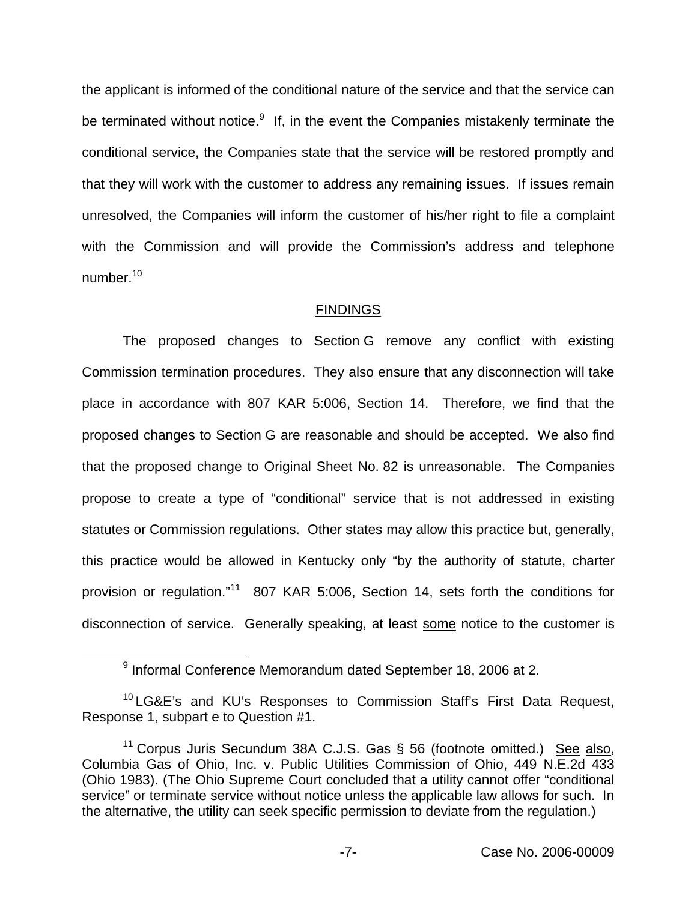the applicant is informed of the conditional nature of the service and that the service can be terminated without notice. $9$  If, in the event the Companies mistakenly terminate the conditional service, the Companies state that the service will be restored promptly and that they will work with the customer to address any remaining issues. If issues remain unresolved, the Companies will inform the customer of his/her right to file a complaint with the Commission and will provide the Commission's address and telephone number.<sup>10</sup>

# **FINDINGS**

The proposed changes to Section G remove any conflict with existing Commission termination procedures. They also ensure that any disconnection will take place in accordance with 807 KAR 5:006, Section 14. Therefore, we find that the proposed changes to Section G are reasonable and should be accepted. We also find that the proposed change to Original Sheet No. 82 is unreasonable. The Companies propose to create a type of "conditional" service that is not addressed in existing statutes or Commission regulations. Other states may allow this practice but, generally, this practice would be allowed in Kentucky only "by the authority of statute, charter provision or regulation."<sup>11</sup> 807 KAR 5:006, Section 14, sets forth the conditions for disconnection of service. Generally speaking, at least some notice to the customer is

<sup>9</sup> Informal Conference Memorandum dated September 18, 2006 at 2.

<sup>&</sup>lt;sup>10</sup> LG&E's and KU's Responses to Commission Staff's First Data Request, Response 1, subpart e to Question #1.

<sup>&</sup>lt;sup>11</sup> Corpus Juris Secundum 38A C.J.S. Gas  $\S$  56 (footnote omitted.) See also, Columbia Gas of Ohio, Inc. v. Public Utilities Commission of Ohio, 449 N.E.2d 433 (Ohio 1983). (The Ohio Supreme Court concluded that a utility cannot offer "conditional service" or terminate service without notice unless the applicable law allows for such. In the alternative, the utility can seek specific permission to deviate from the regulation.)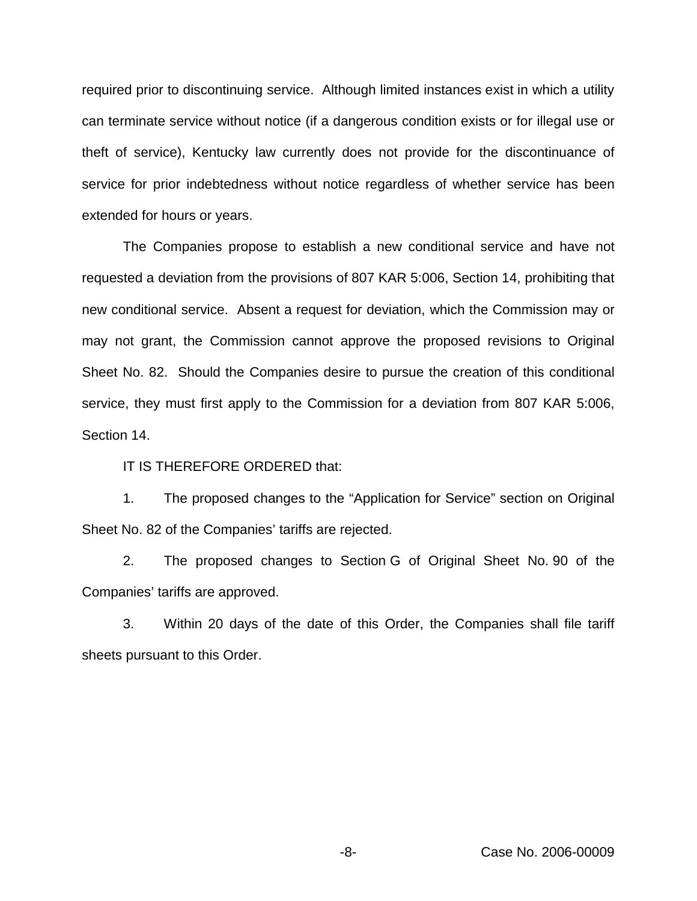required prior to discontinuing service. Although limited instances exist in which a utility can terminate service without notice (if a dangerous condition exists or for illegal use or theft of service), Kentucky law currently does not provide for the discontinuance of service for prior indebtedness without notice regardless of whether service has been extended for hours or years.

The Companies propose to establish a new conditional service and have not requested a deviation from the provisions of 807 KAR 5:006, Section 14, prohibiting that new conditional service. Absent a request for deviation, which the Commission may or may not grant, the Commission cannot approve the proposed revisions to Original Sheet No. 82. Should the Companies desire to pursue the creation of this conditional service, they must first apply to the Commission for a deviation from 807 KAR 5:006, Section 14.

IT IS THEREFORE ORDERED that:

1. The proposed changes to the "Application for Service" section on Original Sheet No. 82 of the Companies' tariffs are rejected.

2. The proposed changes to Section G of Original Sheet No. 90 of the Companies' tariffs are approved.

3. Within 20 days of the date of this Order, the Companies shall file tariff sheets pursuant to this Order.